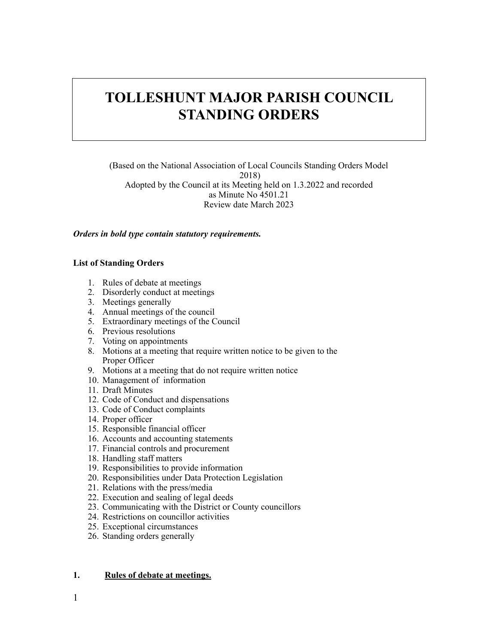# **TOLLESHUNT MAJOR PARISH COUNCIL STANDING ORDERS**

(Based on the National Association of Local Councils Standing Orders Model 2018) Adopted by the Council at its Meeting held on 1.3.2022 and recorded as Minute No 4501.21 Review date March 2023

#### *Orders in bold type contain statutory requirements.*

#### **List of Standing Orders**

- 1. Rules of debate at meetings
- 2. Disorderly conduct at meetings
- 3. Meetings generally
- 4. Annual meetings of the council
- 5. Extraordinary meetings of the Council
- 6. Previous resolutions
- 7. Voting on appointments
- 8. Motions at a meeting that require written notice to be given to the Proper Officer
- 9. Motions at a meeting that do not require written notice
- 10. Management of information
- 11. Draft Minutes
- 12. Code of Conduct and dispensations
- 13. Code of Conduct complaints
- 14. Proper officer
- 15. Responsible financial officer
- 16. Accounts and accounting statements
- 17. Financial controls and procurement
- 18. Handling staff matters
- 19. Responsibilities to provide information
- 20. Responsibilities under Data Protection Legislation
- 21. Relations with the press/media
- 22. Execution and sealing of legal deeds
- 23. Communicating with the District or County councillors
- 24. Restrictions on councillor activities
- 25. Exceptional circumstances
- 26. Standing orders generally

# **1. Rules of debate at meetings.**

1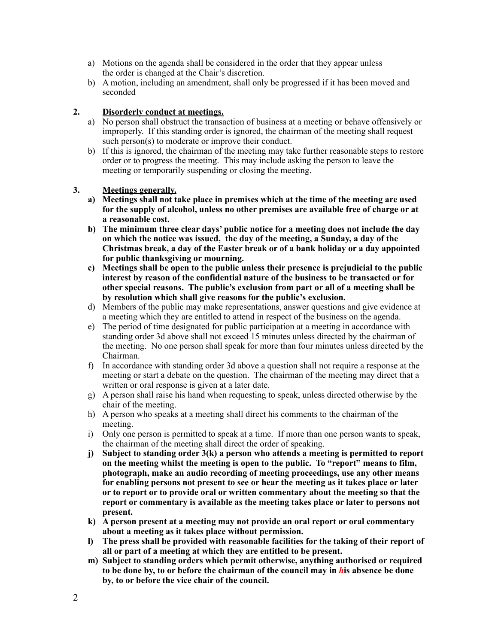- a) Motions on the agenda shall be considered in the order that they appear unless the order is changed at the Chair's discretion.
- b) A motion, including an amendment, shall only be progressed if it has been moved and seconded

# **2. Disorderly conduct at meetings.**

- a) No person shall obstruct the transaction of business at a meeting or behave offensively or improperly. If this standing order is ignored, the chairman of the meeting shall request such person(s) to moderate or improve their conduct.
- b) If this is ignored, the chairman of the meeting may take further reasonable steps to restore order or to progress the meeting. This may include asking the person to leave the meeting or temporarily suspending or closing the meeting.

# **3. Meetings generally.**

- **a) Meetings shall not take place in premises which at the time of the meeting are used for the supply of alcohol, unless no other premises are available free of charge or at a reasonable cost.**
- **b) The minimum three clear days' public notice for a meeting does not include the day on which the notice was issued, the day of the meeting, a Sunday, a day of the Christmas break, a day of the Easter break or of a bank holiday or a day appointed for public thanksgiving or mourning.**
- **c) Meetings shall be open to the public unless their presence is prejudicial to the public interest by reason of the confidential nature of the business to be transacted or for other special reasons. The public's exclusion from part or all of a meeting shall be by resolution which shall give reasons for the public's exclusion.**
- d) Members of the public may make representations, answer questions and give evidence at a meeting which they are entitled to attend in respect of the business on the agenda.
- e) The period of time designated for public participation at a meeting in accordance with standing order 3d above shall not exceed 15 minutes unless directed by the chairman of the meeting. No one person shall speak for more than four minutes unless directed by the Chairman.
- f) In accordance with standing order 3d above a question shall not require a response at the meeting or start a debate on the question. The chairman of the meeting may direct that a written or oral response is given at a later date.
- g) A person shall raise his hand when requesting to speak, unless directed otherwise by the chair of the meeting.
- h) A person who speaks at a meeting shall direct his comments to the chairman of the meeting.
- i) Only one person is permitted to speak at a time. If more than one person wants to speak, the chairman of the meeting shall direct the order of speaking.
- **j) Subject to standing order 3(k) a person who attends a meeting is permitted to report on the meeting whilst the meeting is open to the public. To "report" means to film, photograph, make an audio recording of meeting proceedings, use any other means for enabling persons not present to see or hear the meeting as it takes place or later or to report or to provide oral or written commentary about the meeting so that the report or commentary is available as the meeting takes place or later to persons not present.**
- **k) A person present at a meeting may not provide an oral report or oral commentary about a meeting as it takes place without permission.**
- **l) The press shall be provided with reasonable facilities for the taking of their report of all or part of a meeting at which they are entitled to be present.**
- **m) Subject to standing orders which permit otherwise, anything authorised or required to be done by, to or before the chairman of the council may in** *h***is absence be done by, to or before the vice chair of the council.**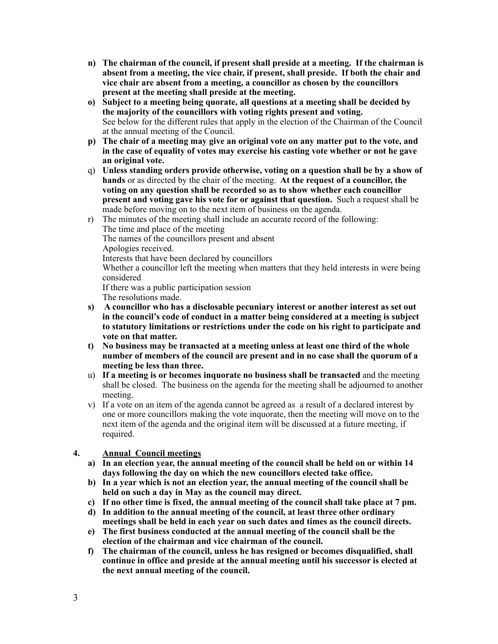- **n) The chairman of the council, if present shall preside at a meeting. If the chairman is absent from a meeting, the vice chair, if present, shall preside. If both the chair and vice chair are absent from a meeting, a councillor as chosen by the councillors present at the meeting shall preside at the meeting.**
- **o) Subject to a meeting being quorate, all questions at a meeting shall be decided by the majority of the councillors with voting rights present and voting.** See below for the different rules that apply in the election of the Chairman of the Council at the annual meeting of the Council.
- **p) The chair of a meeting may give an original vote on any matter put to the vote, and in the case of equality of votes may exercise his casting vote whether or not he gave an original vote.**
- q) **Unless standing orders provide otherwise, voting on a question shall be by a show of hands** or as directed by the chair of the meeting. **At the request of a councillor, the voting on any question shall be recorded so as to show whether each councillor present and voting gave his vote for or against that question.** Such a request shall be made before moving on to the next item of business on the agenda.
- r) The minutes of the meeting shall include an accurate record of the following: The time and place of the meeting The names of the councillors present and absent Apologies received. Interests that have been declared by councillors Whether a councillor left the meeting when matters that they held interests in were being considered If there was a public participation session The resolutions made.
- **s) A councillor who has a disclosable pecuniary interest or another interest as set out in the council's code of conduct in a matter being considered at a meeting is subject to statutory limitations or restrictions under the code on his right to participate and vote on that matter.**
- **t) No business may be transacted at a meeting unless at least one third of the whole number of members of the council are present and in no case shall the quorum of a meeting be less than three.**
- u) **If a meeting is or becomes inquorate no business shall be transacted** and the meeting shall be closed. The business on the agenda for the meeting shall be adjourned to another meeting.
- v) If a vote on an item of the agenda cannot be agreed as a result of a declared interest by one or more councillors making the vote inquorate, then the meeting will move on to the next item of the agenda and the original item will be discussed at a future meeting, if required.

# **4. Annual Council meetings**

- **a) In an election year, the annual meeting of the council shall be held on or within 14 days following the day on which the new councillors elected take office.**
- **b) In a year which is not an election year, the annual meeting of the council shall be held on such a day in May as the council may direct.**
- **c) If no other time is fixed, the annual meeting of the council shall take place at 7 pm.**
- **d) In addition to the annual meeting of the council, at least three other ordinary meetings shall be held in each year on such dates and times as the council directs.**
- **e) The first business conducted at the annual meeting of the council shall be the election of the chairman and vice chairman of the council.**
- **f) The chairman of the council, unless he has resigned or becomes disqualified, shall continue in office and preside at the annual meeting until his successor is elected at the next annual meeting of the council.**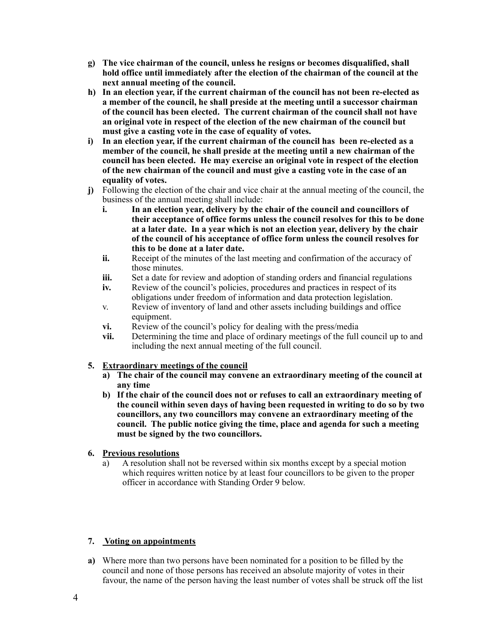- **g) The vice chairman of the council, unless he resigns or becomes disqualified, shall hold office until immediately after the election of the chairman of the council at the next annual meeting of the council.**
- **h) In an election year, if the current chairman of the council has not been re-elected as a member of the council, he shall preside at the meeting until a successor chairman of the council has been elected. The current chairman of the council shall not have an original vote in respect of the election of the new chairman of the council but must give a casting vote in the case of equality of votes.**
- **i) In an election year, if the current chairman of the council has been re-elected as a member of the council, he shall preside at the meeting until a new chairman of the council has been elected. He may exercise an original vote in respect of the election of the new chairman of the council and must give a casting vote in the case of an equality of votes.**
- **j)** Following the election of the chair and vice chair at the annual meeting of the council, the business of the annual meeting shall include:
	- **i. In an election year, delivery by the chair of the council and councillors of their acceptance of office forms unless the council resolves for this to be done at a later date. In a year which is not an election year, delivery by the chair of the council of his acceptance of office form unless the council resolves for this to be done at a later date.**
	- **ii.** Receipt of the minutes of the last meeting and confirmation of the accuracy of those minutes.
	- **iii.** Set a date for review and adoption of standing orders and financial regulations
	- **iv.** Review of the council's policies, procedures and practices in respect of its obligations under freedom of information and data protection legislation.
	- v. Review of inventory of land and other assets including buildings and office equipment.
	- **vi.** Review of the council's policy for dealing with the press/media
	- **vii.** Determining the time and place of ordinary meetings of the full council up to and including the next annual meeting of the full council.

# **5. Extraordinary meetings of the council**

- **a) The chair of the council may convene an extraordinary meeting of the council at any time**
- **b) If the chair of the council does not or refuses to call an extraordinary meeting of the council within seven days of having been requested in writing to do so by two councillors, any two councillors may convene an extraordinary meeting of the council. The public notice giving the time, place and agenda for such a meeting must be signed by the two councillors.**

# **6. Previous resolutions**

a) A resolution shall not be reversed within six months except by a special motion which requires written notice by at least four councillors to be given to the proper officer in accordance with Standing Order 9 below.

# **7. Voting on appointments**

**a)** Where more than two persons have been nominated for a position to be filled by the council and none of those persons has received an absolute majority of votes in their favour, the name of the person having the least number of votes shall be struck off the list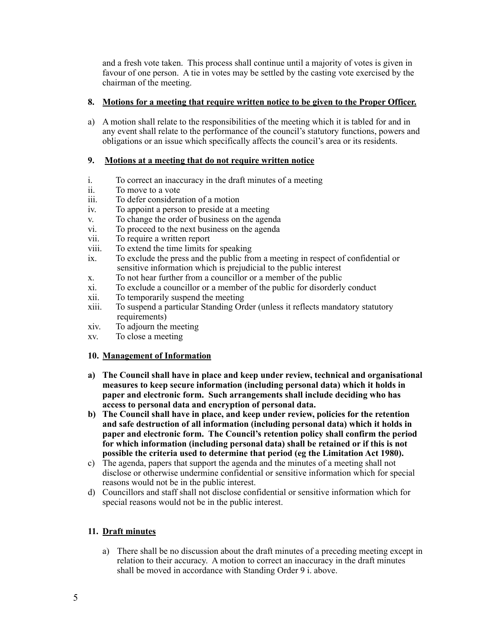and a fresh vote taken. This process shall continue until a majority of votes is given in favour of one person. A tie in votes may be settled by the casting vote exercised by the chairman of the meeting.

# **8. Motions for a meeting that require written notice to be given to the Proper Officer.**

a) A motion shall relate to the responsibilities of the meeting which it is tabled for and in any event shall relate to the performance of the council's statutory functions, powers and obligations or an issue which specifically affects the council's area or its residents.

# **9. Motions at a meeting that do not require written notice**

- i. To correct an inaccuracy in the draft minutes of a meeting
- ii. To move to a vote
- iii. To defer consideration of a motion
- iv. To appoint a person to preside at a meeting
- v. To change the order of business on the agenda
- vi. To proceed to the next business on the agenda
- vii. To require a written report
- viii. To extend the time limits for speaking
- ix. To exclude the press and the public from a meeting in respect of confidential or sensitive information which is prejudicial to the public interest
- x. To not hear further from a councillor or a member of the public
- xi. To exclude a councillor or a member of the public for disorderly conduct
- xii. To temporarily suspend the meeting
- xiii. To suspend a particular Standing Order (unless it reflects mandatory statutory requirements)
- xiv. To adjourn the meeting
- xv. To close a meeting

# **10. Management of Information**

- **a) The Council shall have in place and keep under review, technical and organisational measures to keep secure information (including personal data) which it holds in paper and electronic form. Such arrangements shall include deciding who has access to personal data and encryption of personal data.**
- **b) The Council shall have in place, and keep under review, policies for the retention and safe destruction of all information (including personal data) which it holds in paper and electronic form. The Council's retention policy shall confirm the period for which information (including personal data) shall be retained or if this is not possible the criteria used to determine that period (eg the Limitation Act 1980).**
- c) The agenda, papers that support the agenda and the minutes of a meeting shall not disclose or otherwise undermine confidential or sensitive information which for special reasons would not be in the public interest.
- d) Councillors and staff shall not disclose confidential or sensitive information which for special reasons would not be in the public interest.

# **11. Draft minutes**

a) There shall be no discussion about the draft minutes of a preceding meeting except in relation to their accuracy. A motion to correct an inaccuracy in the draft minutes shall be moved in accordance with Standing Order 9 i. above.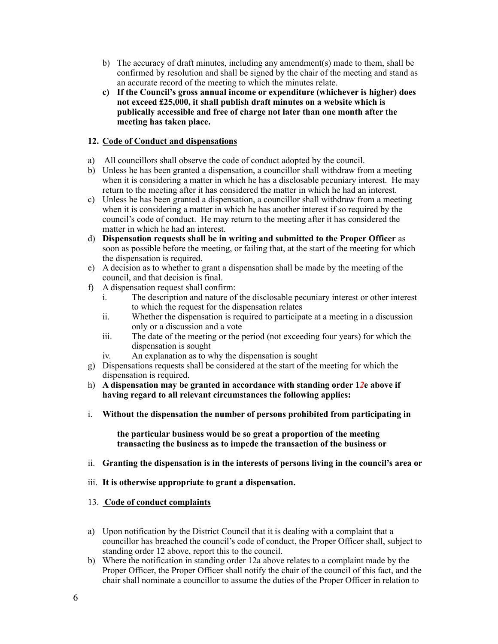- b) The accuracy of draft minutes, including any amendment(s) made to them, shall be confirmed by resolution and shall be signed by the chair of the meeting and stand as an accurate record of the meeting to which the minutes relate.
- **c) If the Council's gross annual income or expenditure (whichever is higher) does not exceed £25,000, it shall publish draft minutes on a website which is publically accessible and free of charge not later than one month after the meeting has taken place.**

# **12. Code of Conduct and dispensations**

- a) All councillors shall observe the code of conduct adopted by the council.
- b) Unless he has been granted a dispensation, a councillor shall withdraw from a meeting when it is considering a matter in which he has a disclosable pecuniary interest. He may return to the meeting after it has considered the matter in which he had an interest.
- c) Unless he has been granted a dispensation, a councillor shall withdraw from a meeting when it is considering a matter in which he has another interest if so required by the council's code of conduct. He may return to the meeting after it has considered the matter in which he had an interest.
- d) **Dispensation requests shall be in writing and submitted to the Proper Officer** as soon as possible before the meeting, or failing that, at the start of the meeting for which the dispensation is required.
- e) A decision as to whether to grant a dispensation shall be made by the meeting of the council, and that decision is final.
- f) A dispensation request shall confirm:
	- i. The description and nature of the disclosable pecuniary interest or other interest to which the request for the dispensation relates
	- ii. Whether the dispensation is required to participate at a meeting in a discussion only or a discussion and a vote
	- iii. The date of the meeting or the period (not exceeding four years) for which the dispensation is sought
	- iv. An explanation as to why the dispensation is sought
- g) Dispensations requests shall be considered at the start of the meeting for which the dispensation is required.
- h) **A dispensation may be granted in accordance with standing order 1***2***e above if having regard to all relevant circumstances the following applies:**
- i. **Without the dispensation the number of persons prohibited from participating in**

**the particular business would be so great a proportion of the meeting transacting the business as to impede the transaction of the business or**

- ii. **Granting the dispensation is in the interests of persons living in the council's area or**
- iii. **It is otherwise appropriate to grant a dispensation.**
- 13. **Code of conduct complaints**
- a) Upon notification by the District Council that it is dealing with a complaint that a councillor has breached the council's code of conduct, the Proper Officer shall, subject to standing order 12 above, report this to the council.
- b) Where the notification in standing order 12a above relates to a complaint made by the Proper Officer, the Proper Officer shall notify the chair of the council of this fact, and the chair shall nominate a councillor to assume the duties of the Proper Officer in relation to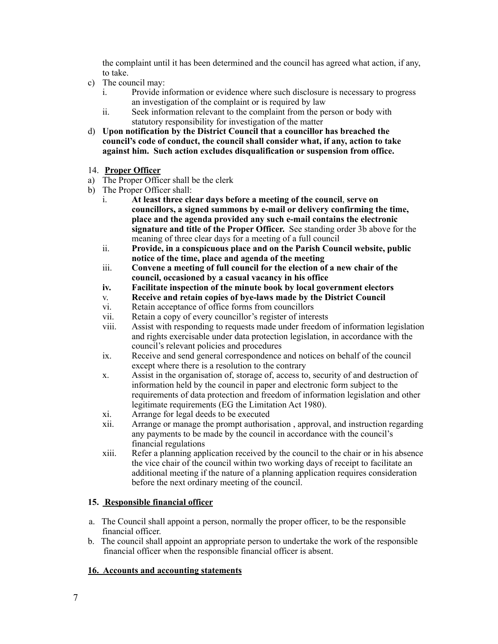the complaint until it has been determined and the council has agreed what action, if any, to take.

- c) The council may:
	- i. Provide information or evidence where such disclosure is necessary to progress an investigation of the complaint or is required by law
	- ii. Seek information relevant to the complaint from the person or body with statutory responsibility for investigation of the matter
- d) **Upon notification by the District Council that a councillor has breached the council's code of conduct, the council shall consider what, if any, action to take against him. Such action excludes disqualification or suspension from office.**
- 14. **Proper Officer**
- a) The Proper Officer shall be the clerk
- b) The Proper Officer shall:
	- i. **At least three clear days before a meeting of the council**, **serve on councillors, a signed summons by e-mail or delivery confirming the time, place and the agenda provided any such e-mail contains the electronic signature and title of the Proper Officer.** See standing order 3b above for the meaning of three clear days for a meeting of a full council
	- ii. **Provide, in a conspicuous place and on the Parish Council website, public notice of the time, place and agenda of the meeting**
	- iii. **Convene a meeting of full council for the election of a new chair of the council, occasioned by a casual vacancy in his office**
	- **iv. Facilitate inspection of the minute book by local government electors**
	- v. **Receive and retain copies of bye-laws made by the District Council**
	- vi. Retain acceptance of office forms from councillors
	- vii. Retain a copy of every councillor's register of interests
	- viii. Assist with responding to requests made under freedom of information legislation and rights exercisable under data protection legislation, in accordance with the council's relevant policies and procedures
	- ix. Receive and send general correspondence and notices on behalf of the council except where there is a resolution to the contrary
	- x. Assist in the organisation of, storage of, access to, security of and destruction of information held by the council in paper and electronic form subject to the requirements of data protection and freedom of information legislation and other legitimate requirements (EG the Limitation Act 1980).
	- xi. Arrange for legal deeds to be executed
	- xii. Arrange or manage the prompt authorisation , approval, and instruction regarding any payments to be made by the council in accordance with the council's financial regulations
	- xiii. Refer a planning application received by the council to the chair or in his absence the vice chair of the council within two working days of receipt to facilitate an additional meeting if the nature of a planning application requires consideration before the next ordinary meeting of the council.

# **15. Responsible financial officer**

- a. The Council shall appoint a person, normally the proper officer, to be the responsible financial officer.
- b. The council shall appoint an appropriate person to undertake the work of the responsible financial officer when the responsible financial officer is absent.

# **16. Accounts and accounting statements**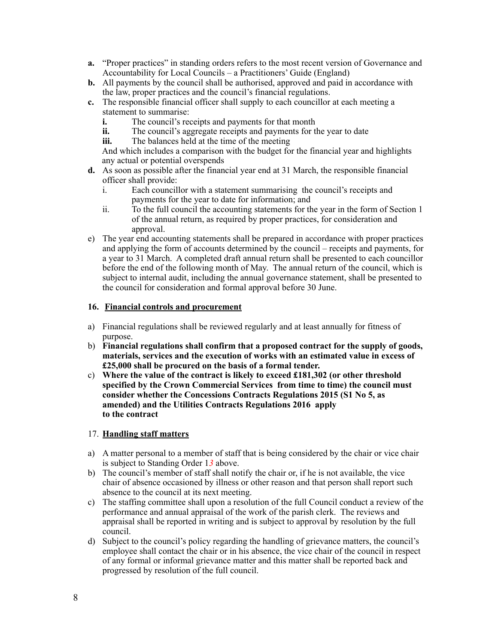- **a.** "Proper practices" in standing orders refers to the most recent version of Governance and Accountability for Local Councils – a Practitioners' Guide (England)
- **b.** All payments by the council shall be authorised, approved and paid in accordance with the law, proper practices and the council's financial regulations.
- **c.** The responsible financial officer shall supply to each councillor at each meeting a statement to summarise:
	- **i.** The council's receipts and payments for that month
	- **ii.** The council's aggregate receipts and payments for the year to date
	- **iii.** The balances held at the time of the meeting

And which includes a comparison with the budget for the financial year and highlights any actual or potential overspends

- **d.** As soon as possible after the financial year end at 31 March, the responsible financial officer shall provide:
	- i. Each councillor with a statement summarising the council's receipts and payments for the year to date for information; and
	- ii. To the full council the accounting statements for the year in the form of Section 1 of the annual return, as required by proper practices, for consideration and approval.
- e) The year end accounting statements shall be prepared in accordance with proper practices and applying the form of accounts determined by the council – receipts and payments, for a year to 31 March. A completed draft annual return shall be presented to each councillor before the end of the following month of May. The annual return of the council, which is subject to internal audit, including the annual governance statement, shall be presented to the council for consideration and formal approval before 30 June.

# **16. Financial controls and procurement**

- a) Financial regulations shall be reviewed regularly and at least annually for fitness of purpose.
- b) **Financial regulations shall confirm that a proposed contract for the supply of goods, materials, services and the execution of works with an estimated value in excess of £25,000 shall be procured on the basis of a formal tender.**
- c) **Where the value of the contract is likely to exceed £181,302 (or other threshold specified by the Crown Commercial Services from time to time) the council must consider whether the Concessions Contracts Regulations 2015 (S1 No 5, as amended) and the Utilities Contracts Regulations 2016 apply to the contract**

# 17. **Handling staff matters**

- a) A matter personal to a member of staff that is being considered by the chair or vice chair is subject to Standing Order 1*3* above.
- b) The council's member of staff shall notify the chair or, if he is not available, the vice chair of absence occasioned by illness or other reason and that person shall report such absence to the council at its next meeting.
- c) The staffing committee shall upon a resolution of the full Council conduct a review of the performance and annual appraisal of the work of the parish clerk. The reviews and appraisal shall be reported in writing and is subject to approval by resolution by the full council.
- d) Subject to the council's policy regarding the handling of grievance matters, the council's employee shall contact the chair or in his absence, the vice chair of the council in respect of any formal or informal grievance matter and this matter shall be reported back and progressed by resolution of the full council.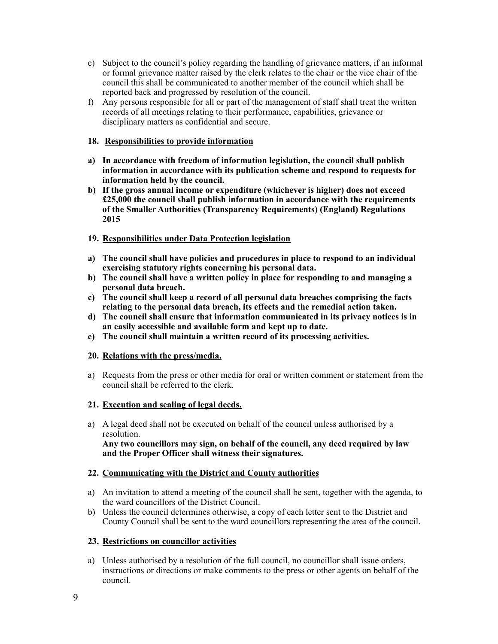- e) Subject to the council's policy regarding the handling of grievance matters, if an informal or formal grievance matter raised by the clerk relates to the chair or the vice chair of the council this shall be communicated to another member of the council which shall be reported back and progressed by resolution of the council.
- f) Any persons responsible for all or part of the management of staff shall treat the written records of all meetings relating to their performance, capabilities, grievance or disciplinary matters as confidential and secure.

# **18. Responsibilities to provide information**

- **a) In accordance with freedom of information legislation, the council shall publish information in accordance with its publication scheme and respond to requests for information held by the council.**
- **b) If the gross annual income or expenditure (whichever is higher) does not exceed £25,000 the council shall publish information in accordance with the requirements of the Smaller Authorities (Transparency Requirements) (England) Regulations 2015**

# **19. Responsibilities under Data Protection legislation**

- **a) The council shall have policies and procedures in place to respond to an individual exercising statutory rights concerning his personal data.**
- **b) The council shall have a written policy in place for responding to and managing a personal data breach.**
- **c) The council shall keep a record of all personal data breaches comprising the facts relating to the personal data breach, its effects and the remedial action taken.**
- **d) The council shall ensure that information communicated in its privacy notices is in an easily accessible and available form and kept up to date.**
- **e) The council shall maintain a written record of its processing activities.**

# **20. Relations with the press/media.**

a) Requests from the press or other media for oral or written comment or statement from the council shall be referred to the clerk.

# **21. Execution and sealing of legal deeds.**

a) A legal deed shall not be executed on behalf of the council unless authorised by a resolution. **Any two councillors may sign, on behalf of the council, any deed required by law and the Proper Officer shall witness their signatures.**

# **22. Communicating with the District and County authorities**

- a) An invitation to attend a meeting of the council shall be sent, together with the agenda, to the ward councillors of the District Council.
- b) Unless the council determines otherwise, a copy of each letter sent to the District and County Council shall be sent to the ward councillors representing the area of the council.

# **23. Restrictions on councillor activities**

a) Unless authorised by a resolution of the full council, no councillor shall issue orders, instructions or directions or make comments to the press or other agents on behalf of the council.